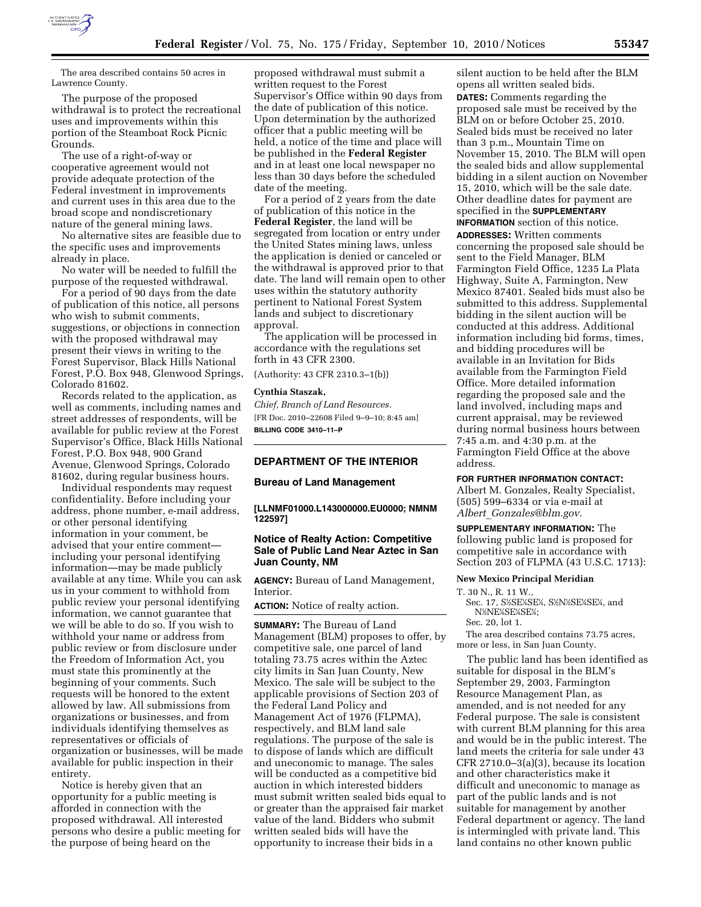

The area described contains 50 acres in Lawrence County.

The purpose of the proposed withdrawal is to protect the recreational uses and improvements within this portion of the Steamboat Rock Picnic Grounds.

The use of a right-of-way or cooperative agreement would not provide adequate protection of the Federal investment in improvements and current uses in this area due to the broad scope and nondiscretionary nature of the general mining laws.

No alternative sites are feasible due to the specific uses and improvements already in place.

No water will be needed to fulfill the purpose of the requested withdrawal.

For a period of 90 days from the date of publication of this notice, all persons who wish to submit comments, suggestions, or objections in connection with the proposed withdrawal may present their views in writing to the Forest Supervisor, Black Hills National Forest, P.O. Box 948, Glenwood Springs, Colorado 81602.

Records related to the application, as well as comments, including names and street addresses of respondents, will be available for public review at the Forest Supervisor's Office, Black Hills National Forest, P.O. Box 948, 900 Grand Avenue, Glenwood Springs, Colorado 81602, during regular business hours.

Individual respondents may request confidentiality. Before including your address, phone number, e-mail address, or other personal identifying information in your comment, be advised that your entire comment including your personal identifying information—may be made publicly available at any time. While you can ask us in your comment to withhold from public review your personal identifying information, we cannot guarantee that we will be able to do so. If you wish to withhold your name or address from public review or from disclosure under the Freedom of Information Act, you must state this prominently at the beginning of your comments. Such requests will be honored to the extent allowed by law. All submissions from organizations or businesses, and from individuals identifying themselves as representatives or officials of organization or businesses, will be made available for public inspection in their entirety.

Notice is hereby given that an opportunity for a public meeting is afforded in connection with the proposed withdrawal. All interested persons who desire a public meeting for the purpose of being heard on the

proposed withdrawal must submit a written request to the Forest Supervisor's Office within 90 days from the date of publication of this notice. Upon determination by the authorized officer that a public meeting will be held, a notice of the time and place will be published in the **Federal Register**  and in at least one local newspaper no less than 30 days before the scheduled date of the meeting.

For a period of 2 years from the date of publication of this notice in the **Federal Register**, the land will be segregated from location or entry under the United States mining laws, unless the application is denied or canceled or the withdrawal is approved prior to that date. The land will remain open to other uses within the statutory authority pertinent to National Forest System lands and subject to discretionary approval.

The application will be processed in accordance with the regulations set forth in 43 CFR 2300.

(Authority: 43 CFR 2310.3–1(b))

#### **Cynthia Staszak,**

*Chief, Branch of Land Resources.*  [FR Doc. 2010–22608 Filed 9–9–10; 8:45 am] **BILLING CODE 3410–11–P** 

### **DEPARTMENT OF THE INTERIOR**

#### **Bureau of Land Management**

**[LLNMF01000.L143000000.EU0000; NMNM 122597]** 

### **Notice of Realty Action: Competitive Sale of Public Land Near Aztec in San Juan County, NM**

**AGENCY:** Bureau of Land Management, Interior.

**ACTION:** Notice of realty action.

**SUMMARY:** The Bureau of Land Management (BLM) proposes to offer, by competitive sale, one parcel of land totaling 73.75 acres within the Aztec city limits in San Juan County, New Mexico. The sale will be subject to the applicable provisions of Section 203 of the Federal Land Policy and Management Act of 1976 (FLPMA), respectively, and BLM land sale regulations. The purpose of the sale is to dispose of lands which are difficult and uneconomic to manage. The sales will be conducted as a competitive bid auction in which interested bidders must submit written sealed bids equal to or greater than the appraised fair market value of the land. Bidders who submit written sealed bids will have the opportunity to increase their bids in a

silent auction to be held after the BLM opens all written sealed bids. **DATES:** Comments regarding the proposed sale must be received by the BLM on or before October 25, 2010. Sealed bids must be received no later than 3 p.m., Mountain Time on November 15, 2010. The BLM will open the sealed bids and allow supplemental bidding in a silent auction on November 15, 2010, which will be the sale date. Other deadline dates for payment are specified in the **SUPPLEMENTARY INFORMATION** section of this notice.

**ADDRESSES:** Written comments concerning the proposed sale should be sent to the Field Manager, BLM Farmington Field Office, 1235 La Plata Highway, Suite A, Farmington, New Mexico 87401. Sealed bids must also be submitted to this address. Supplemental bidding in the silent auction will be conducted at this address. Additional information including bid forms, times, and bidding procedures will be available in an Invitation for Bids available from the Farmington Field Office. More detailed information regarding the proposed sale and the land involved, including maps and current appraisal, may be reviewed during normal business hours between 7:45 a.m. and 4:30 p.m. at the Farmington Field Office at the above address.

#### **FOR FURTHER INFORMATION CONTACT:**

Albert M. Gonzales, Realty Specialist, (505) 599–6334 or via e-mail at *Albert*\_*[Gonzales@blm.gov.](mailto:Albert_Gonzales@blm.gov)* 

**SUPPLEMENTARY INFORMATION:** The following public land is proposed for competitive sale in accordance with Section 203 of FLPMA (43 U.S.C. 1713):

#### **New Mexico Principal Meridian**

T. 30 N., R. 11 W.,

Sec. 17, S½SE¼SE¼, S½N½SE¼SE¼, and N%NE%SE%SE%;

### Sec. 20, lot 1.

The area described contains 73.75 acres, more or less, in San Juan County.

The public land has been identified as suitable for disposal in the BLM's September 29, 2003, Farmington Resource Management Plan, as amended, and is not needed for any Federal purpose. The sale is consistent with current BLM planning for this area and would be in the public interest. The land meets the criteria for sale under 43 CFR 2710.0–3(a)(3), because its location and other characteristics make it difficult and uneconomic to manage as part of the public lands and is not suitable for management by another Federal department or agency. The land is intermingled with private land. This land contains no other known public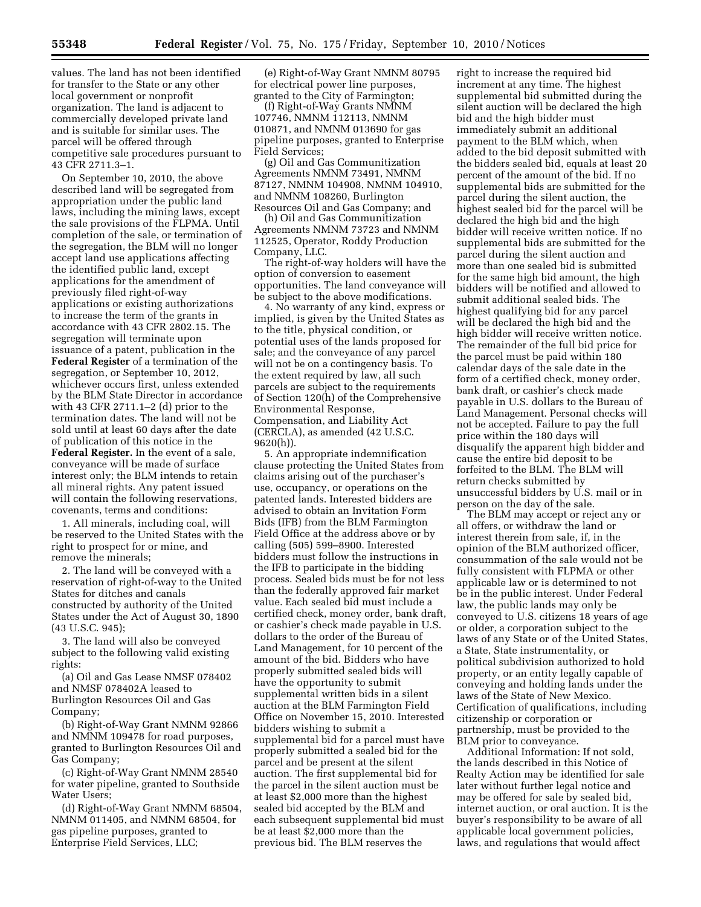values. The land has not been identified for transfer to the State or any other local government or nonprofit organization. The land is adjacent to commercially developed private land and is suitable for similar uses. The parcel will be offered through competitive sale procedures pursuant to 43 CFR 2711.3–1.

On September 10, 2010, the above described land will be segregated from appropriation under the public land laws, including the mining laws, except the sale provisions of the FLPMA. Until completion of the sale, or termination of the segregation, the BLM will no longer accept land use applications affecting the identified public land, except applications for the amendment of previously filed right-of-way applications or existing authorizations to increase the term of the grants in accordance with 43 CFR 2802.15. The segregation will terminate upon issuance of a patent, publication in the **Federal Register** of a termination of the segregation, or September 10, 2012, whichever occurs first, unless extended by the BLM State Director in accordance with 43 CFR 2711.1–2 (d) prior to the termination dates. The land will not be sold until at least 60 days after the date of publication of this notice in the **Federal Register.** In the event of a sale, conveyance will be made of surface interest only; the BLM intends to retain all mineral rights. Any patent issued will contain the following reservations, covenants, terms and conditions:

1. All minerals, including coal, will be reserved to the United States with the right to prospect for or mine, and remove the minerals;

2. The land will be conveyed with a reservation of right-of-way to the United States for ditches and canals constructed by authority of the United States under the Act of August 30, 1890 (43 U.S.C. 945);

3. The land will also be conveyed subject to the following valid existing rights:

(a) Oil and Gas Lease NMSF 078402 and NMSF 078402A leased to Burlington Resources Oil and Gas Company;

(b) Right-of-Way Grant NMNM 92866 and NMNM 109478 for road purposes, granted to Burlington Resources Oil and Gas Company;

(c) Right-of-Way Grant NMNM 28540 for water pipeline, granted to Southside Water Users;

(d) Right-of-Way Grant NMNM 68504, NMNM 011405, and NMNM 68504, for gas pipeline purposes, granted to Enterprise Field Services, LLC;

(e) Right-of-Way Grant NMNM 80795 for electrical power line purposes, granted to the City of Farmington;

(f) Right-of-Way Grants NMNM 107746, NMNM 112113, NMNM 010871, and NMNM 013690 for gas pipeline purposes, granted to Enterprise Field Services;

(g) Oil and Gas Communitization Agreements NMNM 73491, NMNM 87127, NMNM 104908, NMNM 104910, and NMNM 108260, Burlington Resources Oil and Gas Company; and

(h) Oil and Gas Communitization Agreements NMNM 73723 and NMNM 112525, Operator, Roddy Production Company, LLC.

The right-of-way holders will have the option of conversion to easement opportunities. The land conveyance will be subject to the above modifications.

4. No warranty of any kind, express or implied, is given by the United States as to the title, physical condition, or potential uses of the lands proposed for sale; and the conveyance of any parcel will not be on a contingency basis. To the extent required by law, all such parcels are subject to the requirements of Section 120(h) of the Comprehensive Environmental Response, Compensation, and Liability Act (CERCLA), as amended (42 U.S.C. 9620(h)).

5. An appropriate indemnification clause protecting the United States from claims arising out of the purchaser's use, occupancy, or operations on the patented lands. Interested bidders are advised to obtain an Invitation Form Bids (IFB) from the BLM Farmington Field Office at the address above or by calling (505) 599–8900. Interested bidders must follow the instructions in the IFB to participate in the bidding process. Sealed bids must be for not less than the federally approved fair market value. Each sealed bid must include a certified check, money order, bank draft, or cashier's check made payable in U.S. dollars to the order of the Bureau of Land Management, for 10 percent of the amount of the bid. Bidders who have properly submitted sealed bids will have the opportunity to submit supplemental written bids in a silent auction at the BLM Farmington Field Office on November 15, 2010. Interested bidders wishing to submit a supplemental bid for a parcel must have properly submitted a sealed bid for the parcel and be present at the silent auction. The first supplemental bid for the parcel in the silent auction must be at least \$2,000 more than the highest sealed bid accepted by the BLM and each subsequent supplemental bid must be at least \$2,000 more than the previous bid. The BLM reserves the

right to increase the required bid increment at any time. The highest supplemental bid submitted during the silent auction will be declared the high bid and the high bidder must immediately submit an additional payment to the BLM which, when added to the bid deposit submitted with the bidders sealed bid, equals at least 20 percent of the amount of the bid. If no supplemental bids are submitted for the parcel during the silent auction, the highest sealed bid for the parcel will be declared the high bid and the high bidder will receive written notice. If no supplemental bids are submitted for the parcel during the silent auction and more than one sealed bid is submitted for the same high bid amount, the high bidders will be notified and allowed to submit additional sealed bids. The highest qualifying bid for any parcel will be declared the high bid and the high bidder will receive written notice. The remainder of the full bid price for the parcel must be paid within 180 calendar days of the sale date in the form of a certified check, money order, bank draft, or cashier's check made payable in U.S. dollars to the Bureau of Land Management. Personal checks will not be accepted. Failure to pay the full price within the 180 days will disqualify the apparent high bidder and cause the entire bid deposit to be forfeited to the BLM. The BLM will return checks submitted by unsuccessful bidders by U.S. mail or in person on the day of the sale.

The BLM may accept or reject any or all offers, or withdraw the land or interest therein from sale, if, in the opinion of the BLM authorized officer, consummation of the sale would not be fully consistent with FLPMA or other applicable law or is determined to not be in the public interest. Under Federal law, the public lands may only be conveyed to U.S. citizens 18 years of age or older, a corporation subject to the laws of any State or of the United States, a State, State instrumentality, or political subdivision authorized to hold property, or an entity legally capable of conveying and holding lands under the laws of the State of New Mexico. Certification of qualifications, including citizenship or corporation or partnership, must be provided to the BLM prior to conveyance.

Additional Information: If not sold, the lands described in this Notice of Realty Action may be identified for sale later without further legal notice and may be offered for sale by sealed bid, internet auction, or oral auction. It is the buyer's responsibility to be aware of all applicable local government policies, laws, and regulations that would affect